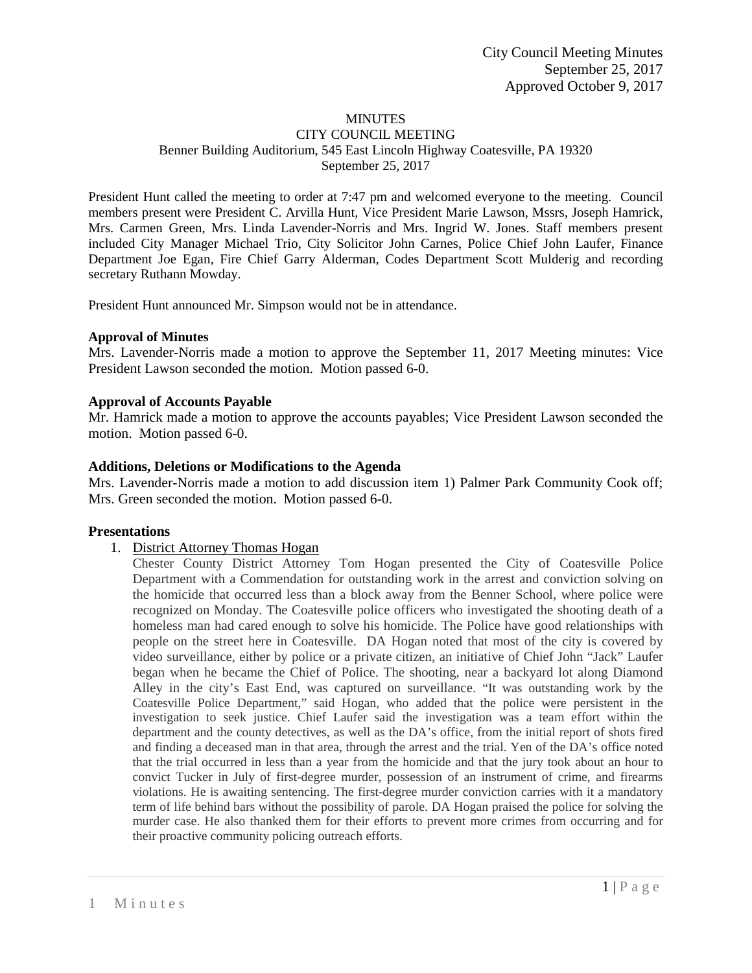#### MINUTES

#### CITY COUNCIL MEETING Benner Building Auditorium, 545 East Lincoln Highway Coatesville, PA 19320 September 25, 2017

President Hunt called the meeting to order at 7:47 pm and welcomed everyone to the meeting. Council members present were President C. Arvilla Hunt, Vice President Marie Lawson, Mssrs, Joseph Hamrick, Mrs. Carmen Green, Mrs. Linda Lavender-Norris and Mrs. Ingrid W. Jones. Staff members present included City Manager Michael Trio, City Solicitor John Carnes, Police Chief John Laufer, Finance Department Joe Egan, Fire Chief Garry Alderman, Codes Department Scott Mulderig and recording secretary Ruthann Mowday.

President Hunt announced Mr. Simpson would not be in attendance.

#### **Approval of Minutes**

Mrs. Lavender-Norris made a motion to approve the September 11, 2017 Meeting minutes: Vice President Lawson seconded the motion. Motion passed 6-0.

#### **Approval of Accounts Payable**

Mr. Hamrick made a motion to approve the accounts payables; Vice President Lawson seconded the motion. Motion passed 6-0.

#### **Additions, Deletions or Modifications to the Agenda**

Mrs. Lavender-Norris made a motion to add discussion item 1) Palmer Park Community Cook off; Mrs. Green seconded the motion. Motion passed 6-0.

#### **Presentations**

1. District Attorney Thomas Hogan

Chester County District Attorney Tom Hogan presented the City of Coatesville Police Department with a Commendation for outstanding work in the arrest and conviction solving on the homicide that occurred less than a block away from the Benner School, where police were recognized on Monday. The Coatesville police officers who investigated the shooting death of a homeless man had cared enough to solve his homicide. The Police have good relationships with people on the street here in Coatesville. DA Hogan noted that most of the city is covered by video surveillance, either by police or a private citizen, an initiative of Chief John "Jack" Laufer began when he became the Chief of Police. The shooting, near a backyard lot along Diamond Alley in the city's East End, was captured on surveillance. "It was outstanding work by the Coatesville Police Department," said Hogan, who added that the police were persistent in the investigation to seek justice. Chief Laufer said the investigation was a team effort within the department and the county detectives, as well as the DA's office, from the initial report of shots fired and finding a deceased man in that area, through the arrest and the trial. Yen of the DA's office noted that the trial occurred in less than a year from the homicide and that the jury took about an hour to convict Tucker in July of first-degree murder, possession of an instrument of crime, and firearms violations. He is awaiting sentencing. The first-degree murder conviction carries with it a mandatory term of life behind bars without the possibility of parole. DA Hogan praised the police for solving the murder case. He also thanked them for their efforts to prevent more crimes from occurring and for their proactive community policing outreach efforts.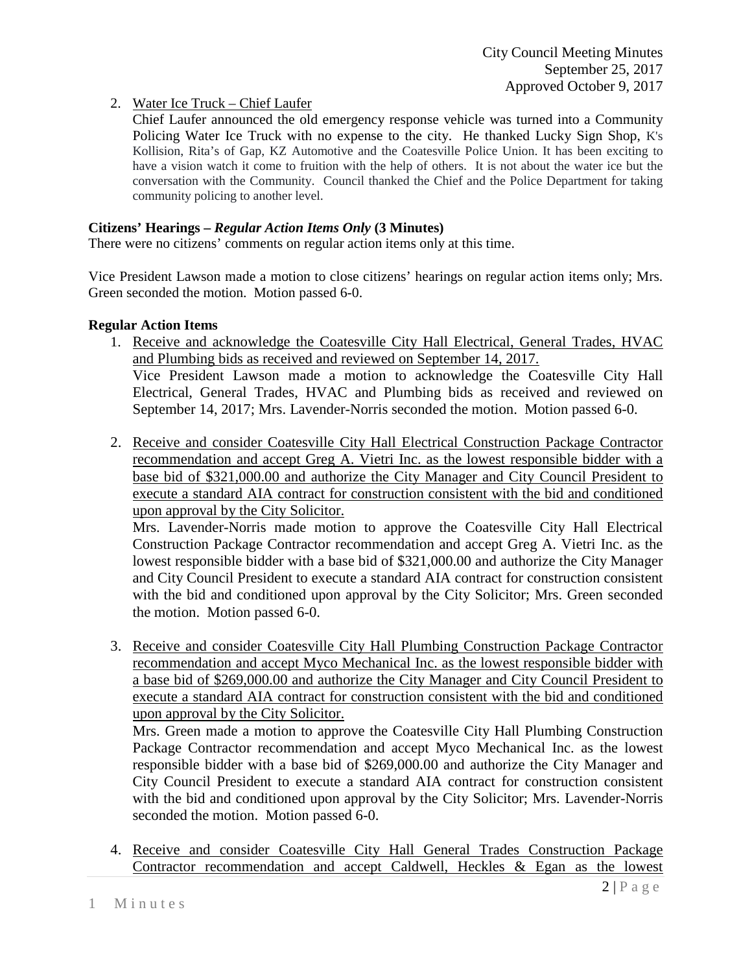2. Water Ice Truck – Chief Laufer

Chief Laufer announced the old emergency response vehicle was turned into a Community Policing Water Ice Truck with no expense to the city. He thanked Lucky Sign Shop, K's Kollision, Rita's of Gap, KZ Automotive and the Coatesville Police Union. It has been exciting to have a vision watch it come to fruition with the help of others. It is not about the water ice but the conversation with the Community. Council thanked the Chief and the Police Department for taking community policing to another level.

## **Citizens' Hearings –** *Regular Action Items Only* **(3 Minutes)**

There were no citizens' comments on regular action items only at this time.

Vice President Lawson made a motion to close citizens' hearings on regular action items only; Mrs. Green seconded the motion. Motion passed 6-0.

#### **Regular Action Items**

- 1. Receive and acknowledge the Coatesville City Hall Electrical, General Trades, HVAC and Plumbing bids as received and reviewed on September 14, 2017. Vice President Lawson made a motion to acknowledge the Coatesville City Hall Electrical, General Trades, HVAC and Plumbing bids as received and reviewed on September 14, 2017; Mrs. Lavender-Norris seconded the motion. Motion passed 6-0.
- 2. Receive and consider Coatesville City Hall Electrical Construction Package Contractor recommendation and accept Greg A. Vietri Inc. as the lowest responsible bidder with a base bid of \$321,000.00 and authorize the City Manager and City Council President to execute a standard AIA contract for construction consistent with the bid and conditioned upon approval by the City Solicitor.

Mrs. Lavender-Norris made motion to approve the Coatesville City Hall Electrical Construction Package Contractor recommendation and accept Greg A. Vietri Inc. as the lowest responsible bidder with a base bid of \$321,000.00 and authorize the City Manager and City Council President to execute a standard AIA contract for construction consistent with the bid and conditioned upon approval by the City Solicitor; Mrs. Green seconded the motion. Motion passed 6-0.

3. Receive and consider Coatesville City Hall Plumbing Construction Package Contractor recommendation and accept Myco Mechanical Inc. as the lowest responsible bidder with a base bid of \$269,000.00 and authorize the City Manager and City Council President to execute a standard AIA contract for construction consistent with the bid and conditioned upon approval by the City Solicitor.

Mrs. Green made a motion to approve the Coatesville City Hall Plumbing Construction Package Contractor recommendation and accept Myco Mechanical Inc. as the lowest responsible bidder with a base bid of \$269,000.00 and authorize the City Manager and City Council President to execute a standard AIA contract for construction consistent with the bid and conditioned upon approval by the City Solicitor; Mrs. Lavender-Norris seconded the motion. Motion passed 6-0.

4. Receive and consider Coatesville City Hall General Trades Construction Package Contractor recommendation and accept Caldwell, Heckles & Egan as the lowest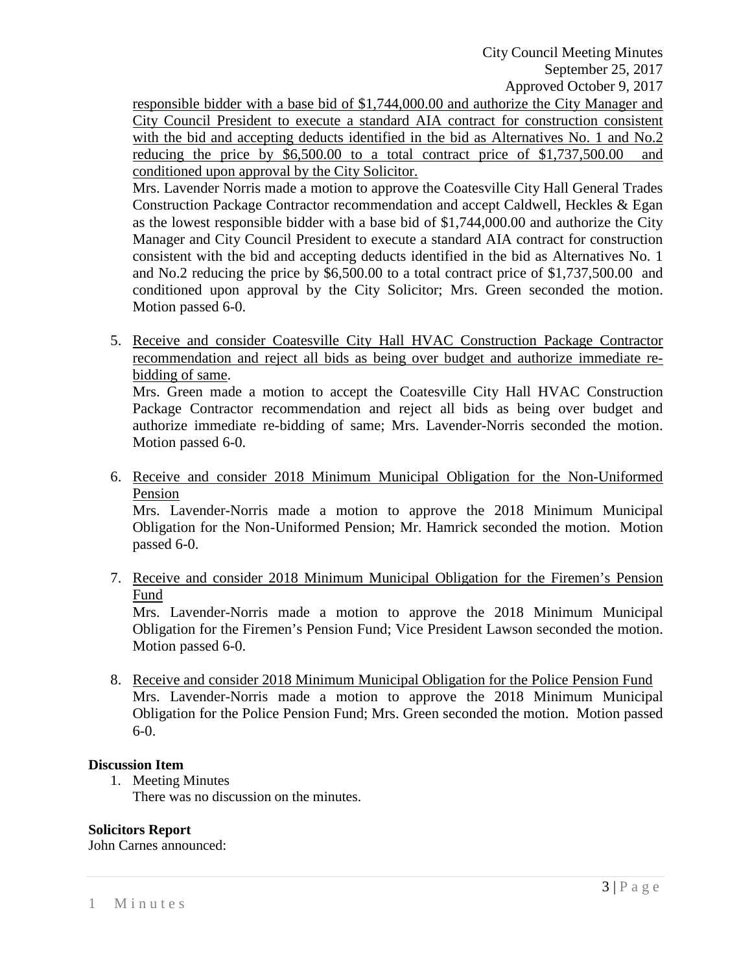City Council Meeting Minutes September 25, 2017 Approved October 9, 2017

responsible bidder with a base bid of \$1,744,000.00 and authorize the City Manager and City Council President to execute a standard AIA contract for construction consistent with the bid and accepting deducts identified in the bid as Alternatives No. 1 and No.2 reducing the price by \$6,500.00 to a total contract price of \$1,737,500.00 and conditioned upon approval by the City Solicitor.

Mrs. Lavender Norris made a motion to approve the Coatesville City Hall General Trades Construction Package Contractor recommendation and accept Caldwell, Heckles & Egan as the lowest responsible bidder with a base bid of \$1,744,000.00 and authorize the City Manager and City Council President to execute a standard AIA contract for construction consistent with the bid and accepting deducts identified in the bid as Alternatives No. 1 and No.2 reducing the price by \$6,500.00 to a total contract price of \$1,737,500.00 and conditioned upon approval by the City Solicitor; Mrs. Green seconded the motion. Motion passed 6-0.

5. Receive and consider Coatesville City Hall HVAC Construction Package Contractor recommendation and reject all bids as being over budget and authorize immediate rebidding of same.

Mrs. Green made a motion to accept the Coatesville City Hall HVAC Construction Package Contractor recommendation and reject all bids as being over budget and authorize immediate re-bidding of same; Mrs. Lavender-Norris seconded the motion. Motion passed 6-0.

6. Receive and consider 2018 Minimum Municipal Obligation for the Non-Uniformed Pension

Mrs. Lavender-Norris made a motion to approve the 2018 Minimum Municipal Obligation for the Non-Uniformed Pension; Mr. Hamrick seconded the motion. Motion passed 6-0.

7. Receive and consider 2018 Minimum Municipal Obligation for the Firemen's Pension Fund

Mrs. Lavender-Norris made a motion to approve the 2018 Minimum Municipal Obligation for the Firemen's Pension Fund; Vice President Lawson seconded the motion. Motion passed 6-0.

8. Receive and consider 2018 Minimum Municipal Obligation for the Police Pension Fund Mrs. Lavender-Norris made a motion to approve the 2018 Minimum Municipal Obligation for the Police Pension Fund; Mrs. Green seconded the motion. Motion passed 6-0.

### **Discussion Item**

1. Meeting Minutes There was no discussion on the minutes.

### **Solicitors Report**

John Carnes announced: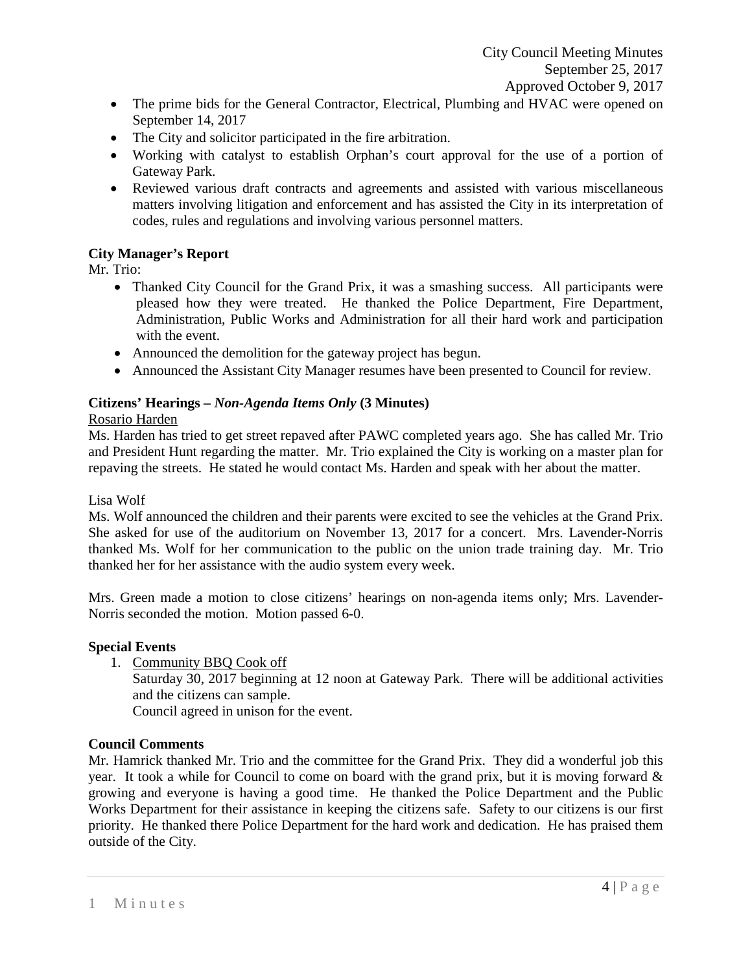- The prime bids for the General Contractor, Electrical, Plumbing and HVAC were opened on September 14, 2017
- The City and solicitor participated in the fire arbitration.
- Working with catalyst to establish Orphan's court approval for the use of a portion of Gateway Park.
- Reviewed various draft contracts and agreements and assisted with various miscellaneous matters involving litigation and enforcement and has assisted the City in its interpretation of codes, rules and regulations and involving various personnel matters.

# **City Manager's Report**

Mr. Trio:

- Thanked City Council for the Grand Prix, it was a smashing success. All participants were pleased how they were treated. He thanked the Police Department, Fire Department, Administration, Public Works and Administration for all their hard work and participation with the event.
- Announced the demolition for the gateway project has begun.
- Announced the Assistant City Manager resumes have been presented to Council for review.

# **Citizens' Hearings –** *Non-Agenda Items Only* **(3 Minutes)**

#### Rosario Harden

Ms. Harden has tried to get street repaved after PAWC completed years ago. She has called Mr. Trio and President Hunt regarding the matter. Mr. Trio explained the City is working on a master plan for repaving the streets. He stated he would contact Ms. Harden and speak with her about the matter.

### Lisa Wolf

Ms. Wolf announced the children and their parents were excited to see the vehicles at the Grand Prix. She asked for use of the auditorium on November 13, 2017 for a concert. Mrs. Lavender-Norris thanked Ms. Wolf for her communication to the public on the union trade training day. Mr. Trio thanked her for her assistance with the audio system every week.

Mrs. Green made a motion to close citizens' hearings on non-agenda items only; Mrs. Lavender-Norris seconded the motion. Motion passed 6-0.

### **Special Events**

1. Community BBQ Cook off

Saturday 30, 2017 beginning at 12 noon at Gateway Park. There will be additional activities and the citizens can sample.

Council agreed in unison for the event.

### **Council Comments**

Mr. Hamrick thanked Mr. Trio and the committee for the Grand Prix. They did a wonderful job this year. It took a while for Council to come on board with the grand prix, but it is moving forward & growing and everyone is having a good time. He thanked the Police Department and the Public Works Department for their assistance in keeping the citizens safe. Safety to our citizens is our first priority. He thanked there Police Department for the hard work and dedication. He has praised them outside of the City.